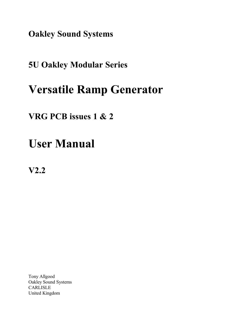**Oakley Sound Systems**

# **5U Oakley Modular Series**

# **Versatile Ramp Generator**

# **VRG PCB issues 1 & 2**

# **User Manual**

**V2.2**

Tony Allgood Oakley Sound Systems CARLISLE United Kingdom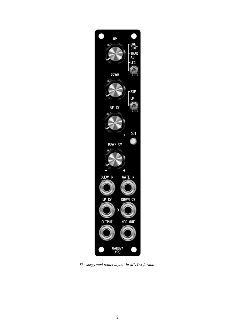

*The suggested panel layout in MOTM format.*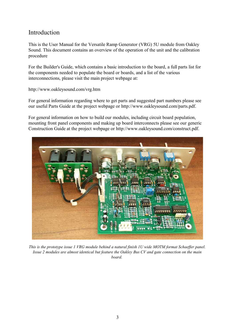## Introduction

This is the User Manual for the Versatile Ramp Generator (VRG) 5U module from Oakley Sound. This document contains an overview of the operation of the unit and the calibration procedure

For the Builder's Guide, which contains a basic introduction to the board, a full parts list for the components needed to populate the board or boards, and a list of the various interconnections, please visit the main project webpage at:

http://www.oakleysound.com/vrg.htm

For general information regarding where to get parts and suggested part numbers please see our useful Parts Guide at the project webpage or http://www.oakleysound.com/parts.pdf.

For general information on how to build our modules, including circuit board population, mounting front panel components and making up board interconnects please see our generic Construction Guide at the project webpage or http://www.oakleysound.com/construct.pdf.



*This is the prototype issue 1 VRG module behind a natural finish 1U wide MOTM format Schaeffer panel. Issue 2 modules are almost identical but feature the Oakley Bus CV and gate connection on the main board.*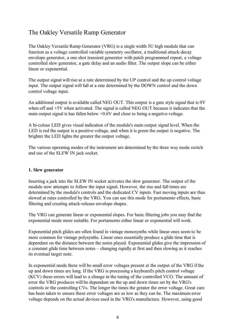# The Oakley Versatile Ramp Generator

The Oakley Versatile Ramp Generator (VRG) is a single width 5U high module that can function as a voltage controlled variable symmetry oscillator, a traditional attack-decay envelope generator, a one shot transient generator with patch programmed repeat, a voltage controlled slew generator, a gate delay and an audio filter. The output slope can be either linear or exponential.

The output signal will rise at a rate determined by the UP control and the up control voltage input. The output signal will fall at a rate determined by the DOWN control and the down control voltage input.

An additional output is available called NEG OUT. This output is a gate style signal that is 0V when off and  $+5V$  when activated. The signal is called NEG OUT because it indicates that the main output signal is has fallen below +0.6V and close to being a negative voltage.

A bi-colour LED gives visual indication of the module's main output signal level. When the LED is red the output is a positive voltage, and when it is green the output is negative. The brighter the LED lights the greater the output voltage.

The various operating modes of the instrument are determined by the three way mode switch and use of the SLEW IN jack socket.

#### **1. Slew generator**

Inserting a jack into the SLEW IN socket activates the slew generator. The output of the module now attempts to follow the input signal. However, the rise and fall times are determined by the module's controls and the dedicated CV inputs. Fast moving inputs are thus slewed at rates controlled by the VRG. You can use this mode for portamento effects, basic filtering and creating attack-release envelope shapes.

The VRG can generate linear or exponential slopes. For basic filtering jobs you may find the exponential mode more suitable. For portamento either linear or exponential will work.

Exponential pitch glides are often found in vintage monosynths while linear ones seem to be more common for vintage polysynths. Linear ones essentially produce a glide time that is dependant on the distance between the notes played. Exponential glides give the impression of a constant glide time between notes – changing rapidly at first and then slowing as it reaches its eventual target note.

In exponential mode there will be small error voltages present at the output of the VRG if the up and down times are long. If the VRG is processing a keyboard's pitch control voltage (KCV) these errors will lead to a change in the tuning of the controlled VCO. The amount of error the VRG produces will be dependant on the up and down times set by the VRG's controls or the controlling CVs. The longer the times the greater the error voltage. Great care has been taken to ensure these error voltages are as low as they can be. The maximum error voltage depends on the actual devices used in the VRG's manufacture. However, using good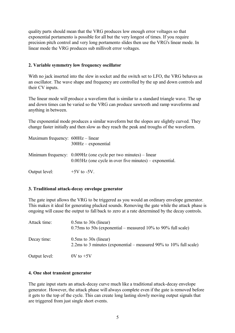quality parts should mean that the VRG produces low enough error voltages so that exponential portamento is possible for all but the very longest of times. If you require precision pitch control and very long portamento slides then use the VRG's linear mode. In linear mode the VRG produces sub millivolt error voltages.

#### **2. Variable symmetry low frequency oscillator**

With no jack inserted into the slew in socket and the switch set to LFO, the VRG behaves as an oscillator. The wave shape and frequency are controlled by the up and down controls and their CV inputs.

The linear mode will produce a waveform that is similar to a standard triangle wave. The up and down times can be varied so the VRG can produce sawtooth and ramp waveforms and anything in between.

The exponential mode produces a similar waveform but the slopes are slightly curved. They change faster initially and then slow as they reach the peak and troughs of the waveform.

| Maximum frequency: $600Hz$ – linear | $300Hz$ – exponential                                                                                                                  |
|-------------------------------------|----------------------------------------------------------------------------------------------------------------------------------------|
|                                     | Minimum frequency: $0.009$ Hz (one cycle per two minutes) – linear<br>$0.003\text{Hz}$ (one cycle in over five minutes) – exponential. |
| Output level:                       | $+5V$ to $-5V$ .                                                                                                                       |

#### **3. Traditional attack-decay envelope generator**

The gate input allows the VRG to be triggered as you would an ordinary envelope generator. This makes it ideal for generating plucked sounds. Removing the gate while the attack phase is ongoing will cause the output to fall back to zero at a rate determined by the decay controls.

| Attack time:  | $0.5ms$ to $30s$ (linear)<br>$0.75$ ms to 50s (exponential – measured 10% to 90% full scale)   |
|---------------|------------------------------------------------------------------------------------------------|
| Decay time:   | $0.5ms$ to $30s$ (linear)<br>2.2ms to 3 minutes (exponential – measured 90% to 10% full scale) |
| Output level: | $0V$ to $+5V$                                                                                  |

#### **4. One shot transient generator**

The gate input starts an attack-decay curve much like a traditional attack-decay envelope generator. However, the attack phase will always complete even if the gate is removed before it gets to the top of the cycle. This can create long lasting slowly moving output signals that are triggered from just single short events.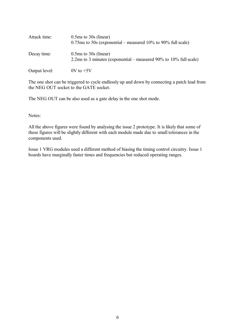| Attack time:  | $0.5ms$ to $30s$ (linear)<br>$0.75$ ms to 50s (exponential – measured 10% to 90% full scale)   |
|---------------|------------------------------------------------------------------------------------------------|
| Decay time:   | $0.5ms$ to $30s$ (linear)<br>2.2ms to 3 minutes (exponential – measured 90% to 10% full scale) |
| Output level: | $0V$ to $+5V$                                                                                  |

The one shot can be triggered to cycle endlessly up and down by connecting a patch lead from the NEG OUT socket to the GATE socket.

The NEG OUT can be also used as a gate delay in the one shot mode.

Notes:

All the above figures were found by analysing the issue 2 prototype. It is likely that some of these figures will be slightly different with each module made due to small tolerances in the components used.

Issue 1 VRG modules used a different method of biasing the timing control circuitry. Issue 1 boards have marginally faster times and frequencies but reduced operating ranges.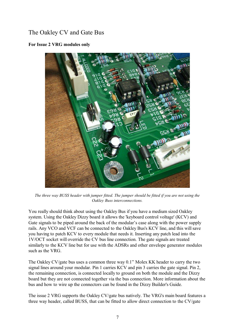# The Oakley CV and Gate Bus

#### **For Issue 2 VRG modules only**



*The three way BUSS header with jumper fitted. The jumper should be fitted if you are not using the Oakley Buss interconnections.*

You really should think about using the Oakley Bus if you have a medium sized Oakley system. Using the Oakley Dizzy board it allows the 'keyboard control voltage' (KCV) and Gate signals to be piped around the back of the modular's case along with the power supply rails. Any VCO and VCF can be connected to the Oakley Bus's KCV line, and this will save you having to patch KCV to every module that needs it. Inserting any patch lead into the 1V/OCT socket will override the CV bus line connection. The gate signals are treated similarly to the KCV line but for use with the ADSRs and other envelope generator modules such as the VRG.

The Oakley CV/gate bus uses a common three way 0.1" Molex KK header to carry the two signal lines around your modular. Pin 1 carries KCV and pin 3 carries the gate signal. Pin 2, the remaining connection, is connected locally to ground on both the module and the Dizzy board but they are not connected together via the bus connection. More information about the bus and how to wire up the connectors can be found in the Dizzy Builder's Guide.

The issue 2 VRG supports the Oakley CV/gate bus natively. The VRG's main board features a three way header, called BUSS, that can be fitted to allow direct connection to the CV/gate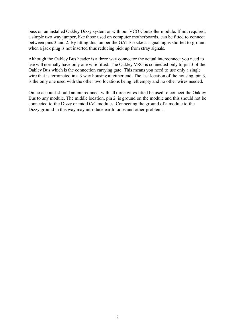buss on an installed Oakley Dizzy system or with our VCO Controller module. If not required, a simple two way jumper, like those used on computer motherboards, can be fitted to connect between pins 3 and 2. By fitting this jumper the GATE socket's signal lug is shorted to ground when a jack plug is not inserted thus reducing pick up from stray signals.

Although the Oakley Bus header is a three way connector the actual interconnect you need to use will normally have only one wire fitted. The Oakley VRG is connected only to pin 3 of the Oakley Bus which is the connection carrying gate. This means you need to use only a single wire that is terminated in a 3 way housing at either end. The last location of the housing, pin 3, is the only one used with the other two locations being left empty and no other wires needed.

On no account should an interconnect with all three wires fitted be used to connect the Oakley Bus to any module. The middle location, pin 2, is ground on the module and this should not be connected to the Dizzy or midiDAC modules. Connecting the ground of a module to the Dizzy ground in this way may introduce earth loops and other problems.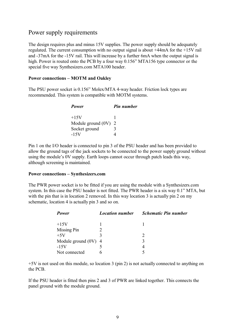### Power supply requirements

The design requires plus and minus 15V supplies. The power supply should be adequately regulated. The current consumption with no output signal is about +44mA for the +15V rail and -37mA for the -15V rail. This will increase by a further 6mA when the output signal is high. Power is routed onto the PCB by a four way 0.156" MTA156 type connector or the special five way Synthesizers.com MTA100 header.

#### **Power connections – MOTM and Oakley**

The PSU power socket is 0.156" Molex/MTA 4-way header. Friction lock types are recommended. This system is compatible with MOTM systems.

| Power                | <b>Pin number</b> |
|----------------------|-------------------|
| $+15V$               |                   |
| Module ground $(0V)$ | 2                 |
| Socket ground        | 3                 |
| $-15V$               |                   |

Pin 1 on the I/O header is connected to pin 3 of the PSU header and has been provided to allow the ground tags of the jack sockets to be connected to the power supply ground without using the module's 0V supply. Earth loops cannot occur through patch leads this way, although screening is maintained.

#### **Power connections – Synthesizers.com**

The PWR power socket is to be fitted if you are using the module with a Synthesizers.com system. In this case the PSU header is not fitted. The PWR header is a six way 0.1" MTA, but with the pin that is in location 2 removed. In this way location 3 is actually pin 2 on my schematic, location 4 is actually pin 3 and so on.

| Power                  | <b>Location number</b> | <b>Schematic Pin number</b> |
|------------------------|------------------------|-----------------------------|
| $+15V$                 |                        |                             |
| Missing Pin            |                        |                             |
| $+5V$                  | ζ                      |                             |
| Module ground $(0V)$ 4 |                        |                             |
| $-15V$                 |                        |                             |
| Not connected          |                        |                             |

+5V is not used on this module, so location 3 (pin 2) is not actually connected to anything on the PCB.

If the PSU header is fitted then pins 2 and 3 of PWR are linked together. This connects the panel ground with the module ground.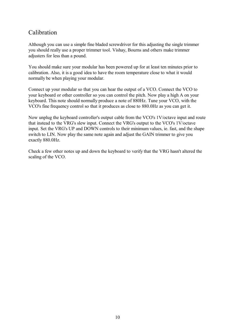## Calibration

Although you can use a simple fine bladed screwdriver for this adjusting the single trimmer you should really use a proper trimmer tool. Vishay, Bourns and others make trimmer adjusters for less than a pound.

You should make sure your modular has been powered up for at least ten minutes prior to calibration. Also, it is a good idea to have the room temperature close to what it would normally be when playing your modular.

Connect up your modular so that you can hear the output of a VCO. Connect the VCO to your keyboard or other controller so you can control the pitch. Now play a high A on your keyboard. This note should normally produce a note of 880Hz. Tune your VCO, with the VCO's fine frequency control so that it produces as close to 880.0Hz as you can get it.

Now unplug the keyboard controller's output cable from the VCO's 1V/octave input and route that instead to the VRG's slew input. Connect the VRG's output to the VCO's 1V/octave input. Set the VRG's UP and DOWN controls to their minimum values, ie. fast, and the shape switch to LIN. Now play the same note again and adjust the GAIN trimmer to give you exactly 880.0Hz.

Check a few other notes up and down the keyboard to verify that the VRG hasn't altered the scaling of the VCO.